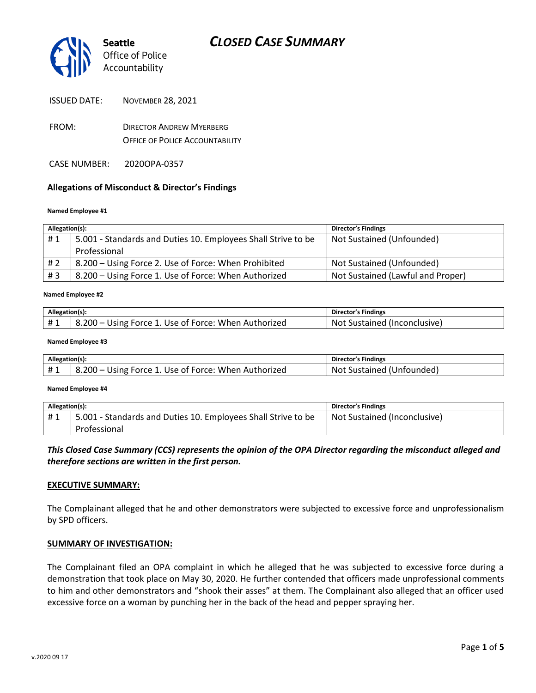

- FROM: DIRECTOR ANDREW MYERBERG OFFICE OF POLICE ACCOUNTABILITY
- CASE NUMBER: 2020OPA-0357

#### **Allegations of Misconduct & Director's Findings**

#### **Named Employee #1**

| Allegation(s): |                                                               | <b>Director's Findings</b>        |
|----------------|---------------------------------------------------------------|-----------------------------------|
| #1             | 5.001 - Standards and Duties 10. Employees Shall Strive to be | Not Sustained (Unfounded)         |
|                | Professional                                                  |                                   |
| #2             | 8.200 - Using Force 2. Use of Force: When Prohibited          | Not Sustained (Unfounded)         |
| #3             | 8.200 - Using Force 1. Use of Force: When Authorized          | Not Sustained (Lawful and Proper) |

#### ؚ<br>ا **Named Employee #2**

| Allegation(s): |                                                      | <b>Director's Findings</b>   |
|----------------|------------------------------------------------------|------------------------------|
| #1             | 8.200 – Using Force 1. Use of Force: When Authorized | Not Sustained (Inconclusive) |

#### **Named Employee #3**

| Allegation(s): |                                                      | <b>Director's Findings</b> |
|----------------|------------------------------------------------------|----------------------------|
|                | 8.200 – Using Force 1. Use of Force: When Authorized | Not Sustained (Unfounded)  |

#### **Named Employee #4**

| Allegation(s): |                                                               | Director's Findings          |
|----------------|---------------------------------------------------------------|------------------------------|
| #1             | 5.001 - Standards and Duties 10. Employees Shall Strive to be | Not Sustained (Inconclusive) |
|                | Professional                                                  |                              |

### *This Closed Case Summary (CCS) represents the opinion of the OPA Director regarding the misconduct alleged and therefore sections are written in the first person.*

#### **EXECUTIVE SUMMARY:**

The Complainant alleged that he and other demonstrators were subjected to excessive force and unprofessionalism by SPD officers.

#### **SUMMARY OF INVESTIGATION:**

The Complainant filed an OPA complaint in which he alleged that he was subjected to excessive force during a demonstration that took place on May 30, 2020. He further contended that officers made unprofessional comments to him and other demonstrators and "shook their asses" at them. The Complainant also alleged that an officer used excessive force on a woman by punching her in the back of the head and pepper spraying her.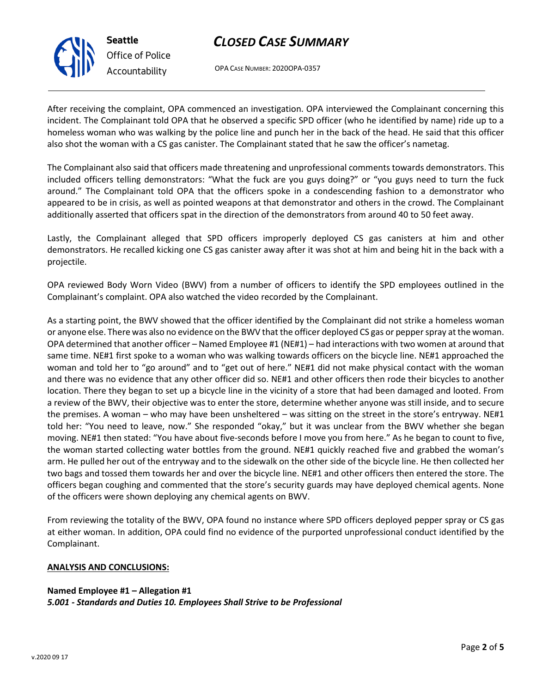

## *CLOSED CASE SUMMARY*

OPA CASE NUMBER: 2020OPA-0357

After receiving the complaint, OPA commenced an investigation. OPA interviewed the Complainant concerning this incident. The Complainant told OPA that he observed a specific SPD officer (who he identified by name) ride up to a homeless woman who was walking by the police line and punch her in the back of the head. He said that this officer also shot the woman with a CS gas canister. The Complainant stated that he saw the officer's nametag.

The Complainant also said that officers made threatening and unprofessional comments towards demonstrators. This included officers telling demonstrators: "What the fuck are you guys doing?" or "you guys need to turn the fuck around." The Complainant told OPA that the officers spoke in a condescending fashion to a demonstrator who appeared to be in crisis, as well as pointed weapons at that demonstrator and others in the crowd. The Complainant additionally asserted that officers spat in the direction of the demonstrators from around 40 to 50 feet away.

Lastly, the Complainant alleged that SPD officers improperly deployed CS gas canisters at him and other demonstrators. He recalled kicking one CS gas canister away after it was shot at him and being hit in the back with a projectile.

OPA reviewed Body Worn Video (BWV) from a number of officers to identify the SPD employees outlined in the Complainant's complaint. OPA also watched the video recorded by the Complainant.

As a starting point, the BWV showed that the officer identified by the Complainant did not strike a homeless woman or anyone else. There was also no evidence on the BWV that the officer deployed CS gas or pepper spray at the woman. OPA determined that another officer – Named Employee #1 (NE#1) – had interactions with two women at around that same time. NE#1 first spoke to a woman who was walking towards officers on the bicycle line. NE#1 approached the woman and told her to "go around" and to "get out of here." NE#1 did not make physical contact with the woman and there was no evidence that any other officer did so. NE#1 and other officers then rode their bicycles to another location. There they began to set up a bicycle line in the vicinity of a store that had been damaged and looted. From a review of the BWV, their objective was to enter the store, determine whether anyone was still inside, and to secure the premises. A woman – who may have been unsheltered – was sitting on the street in the store's entryway. NE#1 told her: "You need to leave, now." She responded "okay," but it was unclear from the BWV whether she began moving. NE#1 then stated: "You have about five-seconds before I move you from here." As he began to count to five, the woman started collecting water bottles from the ground. NE#1 quickly reached five and grabbed the woman's arm. He pulled her out of the entryway and to the sidewalk on the other side of the bicycle line. He then collected her two bags and tossed them towards her and over the bicycle line. NE#1 and other officers then entered the store. The officers began coughing and commented that the store's security guards may have deployed chemical agents. None of the officers were shown deploying any chemical agents on BWV.

From reviewing the totality of the BWV, OPA found no instance where SPD officers deployed pepper spray or CS gas at either woman. In addition, OPA could find no evidence of the purported unprofessional conduct identified by the Complainant.

#### **ANALYSIS AND CONCLUSIONS:**

**Named Employee #1 – Allegation #1** *5.001 - Standards and Duties 10. Employees Shall Strive to be Professional*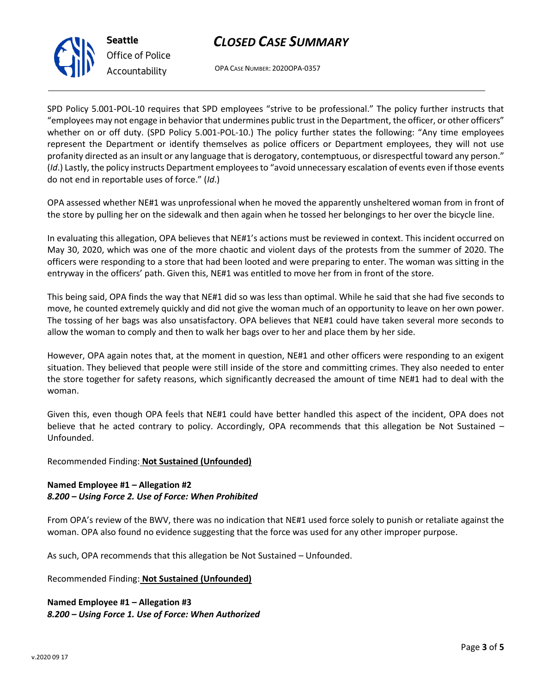v.2020 09 17

# *CLOSED CASE SUMMARY*

OPA CASE NUMBER: 2020OPA-0357

SPD Policy 5.001-POL-10 requires that SPD employees "strive to be professional." The policy further instructs that "employees may not engage in behavior that undermines public trust in the Department, the officer, or other officers" whether on or off duty. (SPD Policy 5.001-POL-10.) The policy further states the following: "Any time employees represent the Department or identify themselves as police officers or Department employees, they will not use profanity directed as an insult or any language that is derogatory, contemptuous, or disrespectful toward any person." (*Id*.) Lastly, the policy instructs Department employees to "avoid unnecessary escalation of events even if those events do not end in reportable uses of force." (*Id*.)

OPA assessed whether NE#1 was unprofessional when he moved the apparently unsheltered woman from in front of the store by pulling her on the sidewalk and then again when he tossed her belongings to her over the bicycle line.

In evaluating this allegation, OPA believes that NE#1's actions must be reviewed in context. This incident occurred on May 30, 2020, which was one of the more chaotic and violent days of the protests from the summer of 2020. The officers were responding to a store that had been looted and were preparing to enter. The woman was sitting in the entryway in the officers' path. Given this, NE#1 was entitled to move her from in front of the store.

This being said, OPA finds the way that NE#1 did so was less than optimal. While he said that she had five seconds to move, he counted extremely quickly and did not give the woman much of an opportunity to leave on her own power. The tossing of her bags was also unsatisfactory. OPA believes that NE#1 could have taken several more seconds to allow the woman to comply and then to walk her bags over to her and place them by her side.

However, OPA again notes that, at the moment in question, NE#1 and other officers were responding to an exigent situation. They believed that people were still inside of the store and committing crimes. They also needed to enter the store together for safety reasons, which significantly decreased the amount of time NE#1 had to deal with the woman.

Given this, even though OPA feels that NE#1 could have better handled this aspect of the incident, OPA does not believe that he acted contrary to policy. Accordingly, OPA recommends that this allegation be Not Sustained – Unfounded.

## Recommended Finding: **Not Sustained (Unfounded)**

### **Named Employee #1 – Allegation #2** *8.200 – Using Force 2. Use of Force: When Prohibited*

From OPA's review of the BWV, there was no indication that NE#1 used force solely to punish or retaliate against the woman. OPA also found no evidence suggesting that the force was used for any other improper purpose.

As such, OPA recommends that this allegation be Not Sustained – Unfounded.

Recommended Finding: **Not Sustained (Unfounded)**

**Named Employee #1 – Allegation #3** *8.200 – Using Force 1. Use of Force: When Authorized*



**Seattle** *Office of Police Accountability*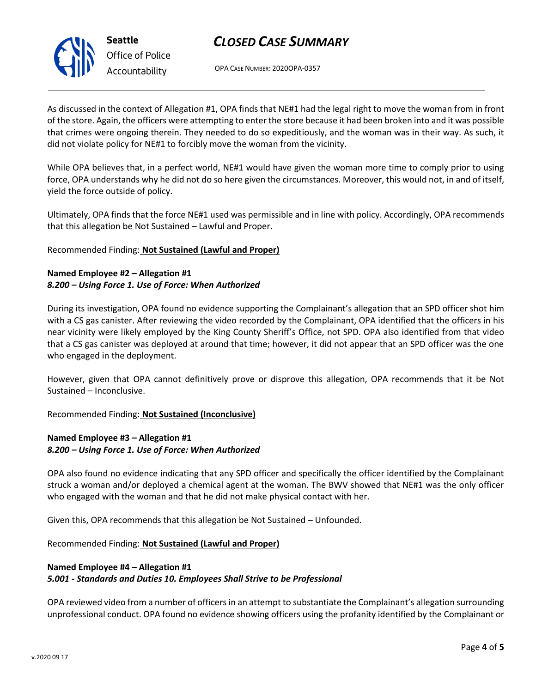## *CLOSED CASE SUMMARY*

OPA CASE NUMBER: 2020OPA-0357

As discussed in the context of Allegation #1, OPA finds that NE#1 had the legal right to move the woman from in front of the store. Again, the officers were attempting to enter the store because it had been broken into and it was possible that crimes were ongoing therein. They needed to do so expeditiously, and the woman was in their way. As such, it did not violate policy for NE#1 to forcibly move the woman from the vicinity.

While OPA believes that, in a perfect world, NE#1 would have given the woman more time to comply prior to using force, OPA understands why he did not do so here given the circumstances. Moreover, this would not, in and of itself, yield the force outside of policy.

Ultimately, OPA finds that the force NE#1 used was permissible and in line with policy. Accordingly, OPA recommends that this allegation be Not Sustained – Lawful and Proper.

Recommended Finding: **Not Sustained (Lawful and Proper)**

### **Named Employee #2 – Allegation #1** *8.200 – Using Force 1. Use of Force: When Authorized*

During its investigation, OPA found no evidence supporting the Complainant's allegation that an SPD officer shot him with a CS gas canister. After reviewing the video recorded by the Complainant, OPA identified that the officers in his near vicinity were likely employed by the King County Sheriff's Office, not SPD. OPA also identified from that video that a CS gas canister was deployed at around that time; however, it did not appear that an SPD officer was the one who engaged in the deployment.

However, given that OPA cannot definitively prove or disprove this allegation, OPA recommends that it be Not Sustained – Inconclusive.

Recommended Finding: **Not Sustained (Inconclusive)**

## **Named Employee #3 – Allegation #1** *8.200 – Using Force 1. Use of Force: When Authorized*

OPA also found no evidence indicating that any SPD officer and specifically the officer identified by the Complainant struck a woman and/or deployed a chemical agent at the woman. The BWV showed that NE#1 was the only officer who engaged with the woman and that he did not make physical contact with her.

Given this, OPA recommends that this allegation be Not Sustained – Unfounded.

Recommended Finding: **Not Sustained (Lawful and Proper)**

## **Named Employee #4 – Allegation #1** *5.001 - Standards and Duties 10. Employees Shall Strive to be Professional*

OPA reviewed video from a number of officers in an attempt to substantiate the Complainant's allegation surrounding unprofessional conduct. OPA found no evidence showing officers using the profanity identified by the Complainant or



**Seattle** *Office of Police Accountability*